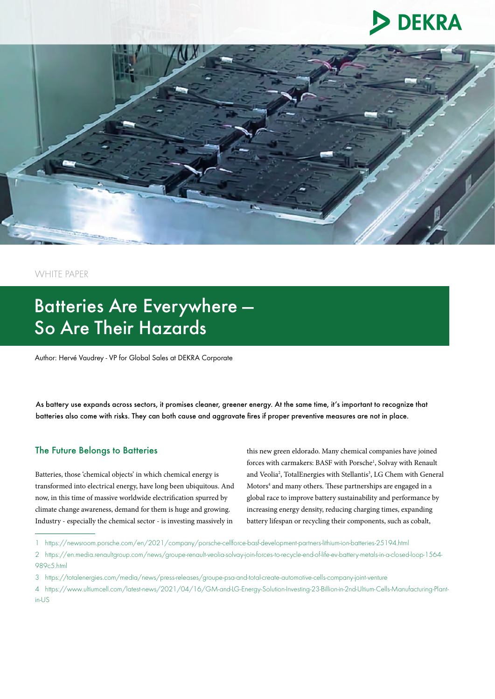



WHITE PAPER

# Batteries Are Everywhere — So Are Their Hazards

Author: Hervé Vaudrey - VP for Global Sales at DEKRA Corporate

As battery use expands across sectors, it promises cleaner, greener energy. At the same time, it's important to recognize that batteries also come with risks. They can both cause and aggravate fires if proper preventive measures are not in place.

#### The Future Belongs to Batteries

Batteries, those 'chemical objects' in which chemical energy is transformed into electrical energy, have long been ubiquitous. And now, in this time of massive worldwide electrification spurred by climate change awareness, demand for them is huge and growing. Industry - especially the chemical sector - is investing massively in

this new green eldorado. Many chemical companies have joined forces with carmakers: BASF with Porsche<sup>1</sup>, Solvay with Renault and Veolia<sup>2</sup>, TotalEnergies with Stellantis<sup>3</sup>, LG Chem with General Motors<sup>4</sup> and many others. These partnerships are engaged in a global race to improve battery sustainability and performance by increasing energy density, reducing charging times, expanding battery lifespan or recycling their components, such as cobalt,

<sup>1</sup> https://newsroom.porsche.com/en/2021/company/porsche-cellforce-basf-development-partners-lithium-ion-batteries-25194.html

<sup>2</sup> https://en.media.renaultgroup.com/news/groupe-renault-veolia-solvay-join-forces-to-recycle-end-of-life-ev-battery-metals-in-a-closed-loop-1564- 989c5.html

<sup>3</sup> https://totalenergies.com/media/news/press-releases/groupe-psa-and-total-create-automotive-cells-company-joint-venture

<sup>4</sup> https://www.ultiumcell.com/latest-news/2021/04/16/GM-and-LG-Energy-Solution-Investing-23-Billion-in-2nd-Ultium-Cells-Manufacturing-Plantin-US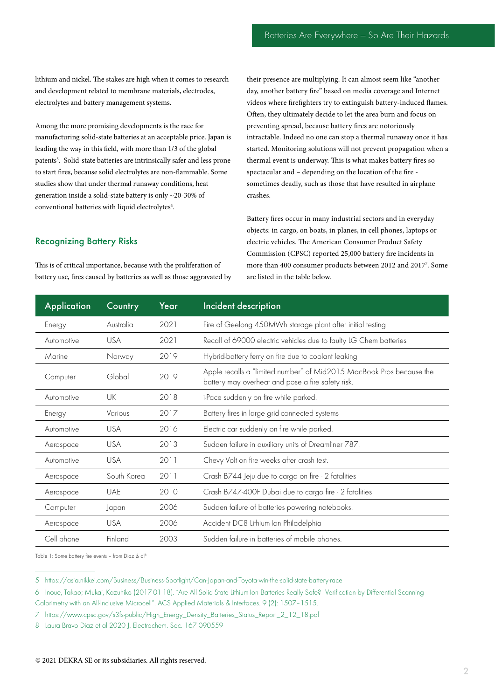lithium and nickel. The stakes are high when it comes to research and development related to membrane materials, electrodes, electrolytes and battery management systems.

Among the more promising developments is the race for manufacturing solid-state batteries at an acceptable price. Japan is leading the way in this field, with more than 1/3 of the global patents<sup>5</sup>. Solid-state batteries are intrinsically safer and less prone to start fires, because solid electrolytes are non-flammable. Some studies show that under thermal runaway conditions, heat generation inside a solid-state battery is only ~20-30% of conventional batteries with liquid electrolytes<sup>6</sup>.

#### Recognizing Battery Risks

This is of critical importance, because with the proliferation of battery use, fires caused by batteries as well as those aggravated by their presence are multiplying. It can almost seem like "another day, another battery fire" based on media coverage and Internet videos where firefighters try to extinguish battery-induced flames. Often, they ultimately decide to let the area burn and focus on preventing spread, because battery fires are notoriously intractable. Indeed no one can stop a thermal runaway once it has started. Monitoring solutions will not prevent propagation when a thermal event is underway. This is what makes battery fires so spectacular and – depending on the location of the fire sometimes deadly, such as those that have resulted in airplane crashes.

Battery fires occur in many industrial sectors and in everyday objects: in cargo, on boats, in planes, in cell phones, laptops or electric vehicles. The American Consumer Product Safety Commission (CPSC) reported 25,000 battery fire incidents in more than 400 consumer products between 2012 and 20177 . Some are listed in the table below.

| <b>Application</b> | Country     | Year | Incident description                                                                                                      |
|--------------------|-------------|------|---------------------------------------------------------------------------------------------------------------------------|
| Energy             | Australia   | 2021 | Fire of Geelong 450MWh storage plant after initial testing                                                                |
| Automotive         | <b>USA</b>  | 2021 | Recall of 69000 electric vehicles due to faulty LG Chem batteries                                                         |
| Marine             | Norway      | 2019 | Hybrid-battery ferry on fire due to coolant leaking                                                                       |
| Computer           | Global      | 2019 | Apple recalls a "limited number" of Mid2015 MacBook Pros because the<br>battery may overheat and pose a fire safety risk. |
| Automotive         | UK          | 2018 | i-Pace suddenly on fire while parked.                                                                                     |
| Energy             | Various     | 2017 | Battery fires in large grid-connected systems                                                                             |
| Automotive         | <b>USA</b>  | 2016 | Electric car suddenly on fire while parked.                                                                               |
| Aerospace          | <b>USA</b>  | 2013 | Sudden failure in auxiliary units of Dreamliner 787.                                                                      |
| Automotive         | <b>USA</b>  | 2011 | Chevy Volt on fire weeks after crash test.                                                                                |
| Aerospace          | South Korea | 2011 | Crash B744 Jeju due to cargo on fire - 2 fatalities                                                                       |
| Aerospace          | <b>UAE</b>  | 2010 | Crash B747-400F Dubai due to cargo fire - 2 fatalities                                                                    |
| Computer           | Japan       | 2006 | Sudden failure of batteries powering notebooks.                                                                           |
| Aerospace          | <b>USA</b>  | 2006 | Accident DC8 Lithium-Ion Philadelphia                                                                                     |
| Cell phone         | Finland     | 2003 | Sudden failure in batteries of mobile phones.                                                                             |

Table 1: Some battery fire events - from Diaz & al<sup>8</sup>

5 https://asia.nikkei.com/Business/Business-Spotlight/Can-Japan-and-Toyota-win-the-solid-state-battery-race

7 https://www.cpsc.gov/s3fs-public/High\_Energy\_Density\_Batteries\_Status\_Report\_2\_12\_18.pdf

8 Laura Bravo Diaz et al 2020 J. Electrochem. Soc. 167 090559

<sup>6</sup> Inoue, Takao; Mukai, Kazuhiko (2017-01-18). "Are All-Solid-State Lithium-Ion Batteries Really Safe?–Verification by Differential Scanning Calorimetry with an All-Inclusive Microcell". ACS Applied Materials & Interfaces. 9 (2): 1507–1515.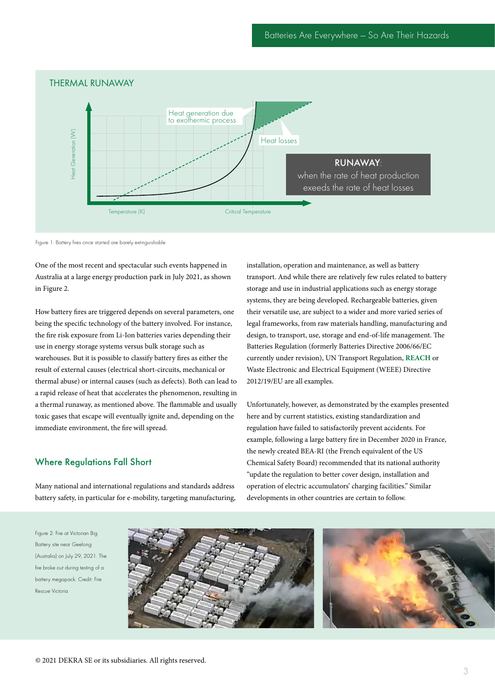

Figure 1: Battery fires once started are barely extinguishable

One of the most recent and spectacular such events happened in Australia at a large energy production park in July 2021, as shown in Figure 2.

How battery fires are triggered depends on several parameters, one being the specific technology of the battery involved. For instance, the fire risk exposure from Li-Ion batteries varies depending their use in energy storage systems versus bulk storage such as warehouses. But it is possible to classify battery fires as either the result of external causes (electrical short-circuits, mechanical or thermal abuse) or internal causes (such as defects). Both can lead to a rapid release of heat that accelerates the phenomenon, resulting in a thermal runaway, as mentioned above. The flammable and usually toxic gases that escape will eventually ignite and, depending on the immediate environment, the fire will spread.

#### Where Regulations Fall Short

Many national and international regulations and standards address battery safety, in particular for e-mobility, targeting manufacturing, installation, operation and maintenance, as well as battery transport. And while there are relatively few rules related to battery storage and use in industrial applications such as energy storage systems, they are being developed. Rechargeable batteries, given their versatile use, are subject to a wider and more varied series of legal frameworks, from raw materials handling, manufacturing and design, to transport, use, storage and end-of-life management. The Batteries Regulation (formerly Batteries Directive 2006/66/EC currently under revision), UN Transport Regulation, **[REACH](https://www.dekra.com/en/reach-compliance/)** or Waste Electronic and Electrical Equipment (WEEE) Directive 2012/19/EU are all examples.

Unfortunately, however, as demonstrated by the examples presented here and by current statistics, existing standardization and regulation have failed to satisfactorily prevent accidents. For example, following a large battery fire in December 2020 in France, the newly created BEA-RI (the French equivalent of the US Chemical Safety Board) recommended that its national authority "update the regulation to better cover design, installation and operation of electric accumulators' charging facilities." Similar developments in other countries are certain to follow.

Figure 2: Fire at Victorian Big Battery site near Geelong (Australia) on July 29, 2021. The fire broke out during testing of a battery megapack. Credit: Fire Rescue Victoria